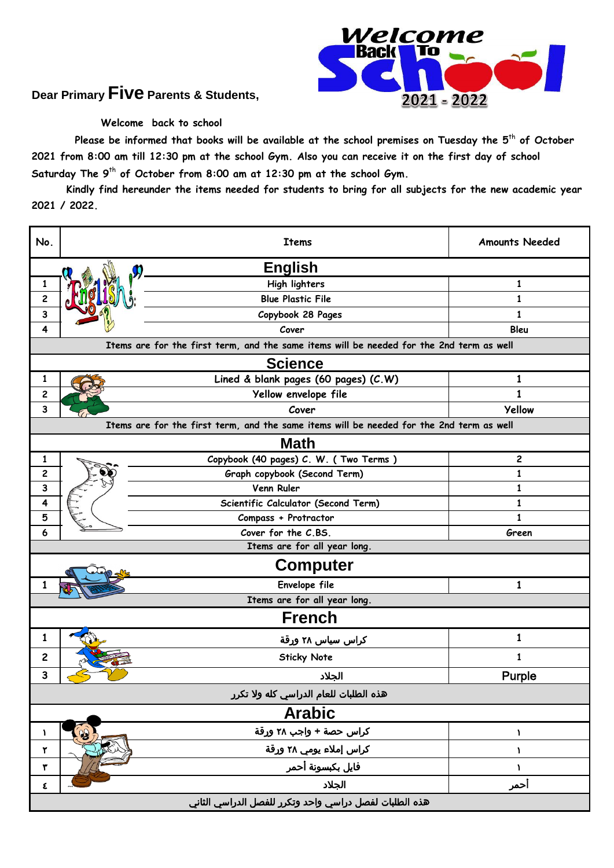

## **Dear Primary Five Parents & Students,**

## **Welcome back to school**

 **Please be informed that books will be available at the school premises on Tuesday the 5** th **of October 2021 from 8:00 am till 12:30 pm at the school Gym. Also you can receive it on the first day of school Saturday The 9** th **of October from 8:00 am at 12:30 pm at the school Gym.**

 **Kindly find hereunder the items needed for students to bring for all subjects for the new academic year 2021 / 2022.**

| No.                                                                                      |                                                                                          | <b>Items</b>                          | <b>Amounts Needed</b>   |  |  |
|------------------------------------------------------------------------------------------|------------------------------------------------------------------------------------------|---------------------------------------|-------------------------|--|--|
| English<br>Ŋ                                                                             |                                                                                          |                                       |                         |  |  |
| 1                                                                                        |                                                                                          | High lighters                         | 1                       |  |  |
| 2                                                                                        |                                                                                          | <b>Blue Plastic File</b>              | 1                       |  |  |
| 3                                                                                        |                                                                                          | Copybook 28 Pages                     | 1                       |  |  |
| 4                                                                                        |                                                                                          | Cover                                 | Bleu                    |  |  |
|                                                                                          | Items are for the first term, and the same items will be needed for the 2nd term as well |                                       |                         |  |  |
| <b>Science</b>                                                                           |                                                                                          |                                       |                         |  |  |
| 1                                                                                        |                                                                                          | Lined & blank pages (60 pages) (C.W)  | 1                       |  |  |
| 2                                                                                        |                                                                                          | Yellow envelope file                  | 1                       |  |  |
| 3                                                                                        |                                                                                          | Cover                                 | <b>Yellow</b>           |  |  |
| Items are for the first term, and the same items will be needed for the 2nd term as well |                                                                                          |                                       |                         |  |  |
| <b>Math</b>                                                                              |                                                                                          |                                       |                         |  |  |
| 1                                                                                        |                                                                                          | Copybook (40 pages) C. W. (Two Terms) | $\overline{\mathbf{c}}$ |  |  |
| 2                                                                                        |                                                                                          | Graph copybook (Second Term)          | 1                       |  |  |
| 3                                                                                        |                                                                                          | Venn Ruler                            | 1                       |  |  |
| 4                                                                                        |                                                                                          | Scientific Calculator (Second Term)   | 1                       |  |  |
| 5                                                                                        |                                                                                          | Compass + Protractor                  | 1                       |  |  |
| 6                                                                                        |                                                                                          | Cover for the C.BS.                   | Green                   |  |  |
| Items are for all year long.                                                             |                                                                                          |                                       |                         |  |  |
|                                                                                          | <b>Computer</b>                                                                          |                                       |                         |  |  |
|                                                                                          |                                                                                          | Envelope file                         | 1                       |  |  |
|                                                                                          |                                                                                          | Items are for all year long.          |                         |  |  |
| <b>French</b>                                                                            |                                                                                          |                                       |                         |  |  |
| 1                                                                                        |                                                                                          | کراس سیاس ۲۸ ورقة                     | 1                       |  |  |
| 2                                                                                        |                                                                                          | <b>Sticky Note</b>                    | 1                       |  |  |
| 3                                                                                        |                                                                                          | الجلاد                                | Purple                  |  |  |
| هذه الطلبات للعام الدراسي كله ولا تكرر                                                   |                                                                                          |                                       |                         |  |  |
| <b>Arabic</b>                                                                            |                                                                                          |                                       |                         |  |  |
| J.                                                                                       | 09                                                                                       | كراس حصة + واجب ٢٨ ورقة               | ١                       |  |  |
| $\pmb{\Upsilon}$                                                                         |                                                                                          | كراس إملاء يومي ٢٨ ورقة               | ١                       |  |  |
| ۳                                                                                        |                                                                                          | فايل بكبسونة أحمر                     | Y                       |  |  |
| ٤                                                                                        |                                                                                          | الجلاد                                | احمر                    |  |  |
|                                                                                          | هذه الطلبات لفصل دراسي واحد وتكرر للفصل الدراسي الثاني                                   |                                       |                         |  |  |